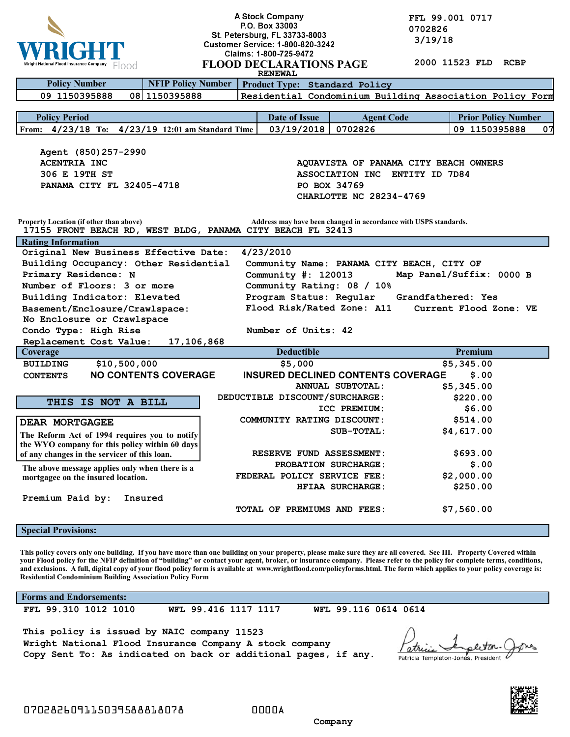

**A Stock Company**<br> **P.O. Box 33003**<br> **P.O. Box 33003**<br> **COLLY**<br> **COLLY**<br> **COLLY**<br> **COLLY**<br> **COLLY**<br> **COLLY**<br> **COLLY 0702826 1 19/18** Customer Service: 1.800.820.3242 3/19/18

|                                                                                                                                                                                                                                                                                                                                                                                                                                                                                                                                                                                             |                                | Claims: 1-800-725-9472                    |                         |                                                                  |  |
|---------------------------------------------------------------------------------------------------------------------------------------------------------------------------------------------------------------------------------------------------------------------------------------------------------------------------------------------------------------------------------------------------------------------------------------------------------------------------------------------------------------------------------------------------------------------------------------------|--------------------------------|-------------------------------------------|-------------------------|------------------------------------------------------------------|--|
| Wright National Flood Insurance Company<br>Flood                                                                                                                                                                                                                                                                                                                                                                                                                                                                                                                                            |                                | <b>FLOOD DECLARATIONS PAGE</b>            |                         | 2000 11523 FLD<br><b>RCBP</b>                                    |  |
|                                                                                                                                                                                                                                                                                                                                                                                                                                                                                                                                                                                             |                                | <b>RENEWAL</b>                            |                         |                                                                  |  |
| <b>NFIP Policy Number</b><br><b>Policy Number</b>                                                                                                                                                                                                                                                                                                                                                                                                                                                                                                                                           |                                | Product Type: Standard Policy             |                         |                                                                  |  |
| 09 1150395888<br>08 1150395888                                                                                                                                                                                                                                                                                                                                                                                                                                                                                                                                                              |                                |                                           |                         | Residential Condominium Building Association Policy Form         |  |
|                                                                                                                                                                                                                                                                                                                                                                                                                                                                                                                                                                                             |                                |                                           |                         |                                                                  |  |
| <b>Policy Period</b>                                                                                                                                                                                                                                                                                                                                                                                                                                                                                                                                                                        |                                | <b>Date of Issue</b>                      | <b>Agent Code</b>       | <b>Prior Policy Number</b>                                       |  |
| From: 4/23/18 To: 4/23/19 12:01 am Standard Time                                                                                                                                                                                                                                                                                                                                                                                                                                                                                                                                            |                                | 03/19/2018                                | 0702826                 | 09 1150395888<br>07                                              |  |
|                                                                                                                                                                                                                                                                                                                                                                                                                                                                                                                                                                                             |                                |                                           |                         |                                                                  |  |
| Agent (850) 257-2990                                                                                                                                                                                                                                                                                                                                                                                                                                                                                                                                                                        |                                |                                           |                         |                                                                  |  |
| <b>ACENTRIA INC</b>                                                                                                                                                                                                                                                                                                                                                                                                                                                                                                                                                                         |                                |                                           |                         | AQUAVISTA OF PANAMA CITY BEACH OWNERS                            |  |
| 306 E 19TH ST                                                                                                                                                                                                                                                                                                                                                                                                                                                                                                                                                                               | ASSOCIATION INC ENTITY ID 7D84 |                                           |                         |                                                                  |  |
| PANAMA CITY FL 32405-4718                                                                                                                                                                                                                                                                                                                                                                                                                                                                                                                                                                   |                                | PO BOX 34769                              |                         |                                                                  |  |
|                                                                                                                                                                                                                                                                                                                                                                                                                                                                                                                                                                                             |                                |                                           | CHARLOTTE NC 28234-4769 |                                                                  |  |
|                                                                                                                                                                                                                                                                                                                                                                                                                                                                                                                                                                                             |                                |                                           |                         |                                                                  |  |
| Property Location (if other than above)<br>17155 FRONT BEACH RD, WEST BLDG, PANAMA CITY BEACH FL 32413                                                                                                                                                                                                                                                                                                                                                                                                                                                                                      |                                |                                           |                         | Address may have been changed in accordance with USPS standards. |  |
| <b>Rating Information</b>                                                                                                                                                                                                                                                                                                                                                                                                                                                                                                                                                                   |                                |                                           |                         |                                                                  |  |
| Original New Business Effective Date:                                                                                                                                                                                                                                                                                                                                                                                                                                                                                                                                                       |                                | 4/23/2010                                 |                         |                                                                  |  |
| Building Occupancy: Other Residential                                                                                                                                                                                                                                                                                                                                                                                                                                                                                                                                                       |                                |                                           |                         | Community Name: PANAMA CITY BEACH, CITY OF                       |  |
| Primary Residence: N                                                                                                                                                                                                                                                                                                                                                                                                                                                                                                                                                                        |                                | Community $\#: 120013$                    |                         | Map Panel/Suffix: 0000 B                                         |  |
| Number of Floors: 3 or more                                                                                                                                                                                                                                                                                                                                                                                                                                                                                                                                                                 |                                | Community Rating: 08 / 10%                |                         |                                                                  |  |
| Building Indicator: Elevated                                                                                                                                                                                                                                                                                                                                                                                                                                                                                                                                                                |                                | Program Status: Regular                   |                         | Grandfathered: Yes                                               |  |
| Basement/Enclosure/Crawlspace:                                                                                                                                                                                                                                                                                                                                                                                                                                                                                                                                                              |                                | Flood Risk/Rated Zone: A11                |                         | Current Flood Zone: VE                                           |  |
| No Enclosure or Crawlspace                                                                                                                                                                                                                                                                                                                                                                                                                                                                                                                                                                  |                                |                                           |                         |                                                                  |  |
| Condo Type: High Rise                                                                                                                                                                                                                                                                                                                                                                                                                                                                                                                                                                       |                                | Number of Units: 42                       |                         |                                                                  |  |
| Replacement Cost Value:<br>17,106,868                                                                                                                                                                                                                                                                                                                                                                                                                                                                                                                                                       |                                |                                           |                         |                                                                  |  |
|                                                                                                                                                                                                                                                                                                                                                                                                                                                                                                                                                                                             |                                |                                           |                         |                                                                  |  |
| Coverage                                                                                                                                                                                                                                                                                                                                                                                                                                                                                                                                                                                    |                                | <b>Deductible</b>                         |                         | Premium                                                          |  |
| <b>BUILDING</b><br>\$10,500,000                                                                                                                                                                                                                                                                                                                                                                                                                                                                                                                                                             |                                | \$5,000                                   |                         | \$5,345.00                                                       |  |
| <b>NO CONTENTS COVERAGE</b><br><b>CONTENTS</b>                                                                                                                                                                                                                                                                                                                                                                                                                                                                                                                                              |                                | <b>INSURED DECLINED CONTENTS COVERAGE</b> |                         | \$.00                                                            |  |
|                                                                                                                                                                                                                                                                                                                                                                                                                                                                                                                                                                                             |                                |                                           | ANNUAL SUBTOTAL:        | \$5,345.00                                                       |  |
|                                                                                                                                                                                                                                                                                                                                                                                                                                                                                                                                                                                             |                                | DEDUCTIBLE DISCOUNT/SURCHARGE:            |                         | \$220.00                                                         |  |
| THIS IS NOT A BILL                                                                                                                                                                                                                                                                                                                                                                                                                                                                                                                                                                          |                                |                                           | ICC PREMIUM:            | \$6.00                                                           |  |
|                                                                                                                                                                                                                                                                                                                                                                                                                                                                                                                                                                                             |                                | COMMUNITY RATING DISCOUNT:                |                         | \$514.00                                                         |  |
| <b>DEAR MORTGAGEE</b>                                                                                                                                                                                                                                                                                                                                                                                                                                                                                                                                                                       |                                |                                           | SUB-TOTAL:              | \$4,617.00                                                       |  |
| The Reform Act of 1994 requires you to notify                                                                                                                                                                                                                                                                                                                                                                                                                                                                                                                                               |                                |                                           |                         |                                                                  |  |
| the WYO company for this policy within 60 days                                                                                                                                                                                                                                                                                                                                                                                                                                                                                                                                              |                                | RESERVE FUND ASSESSMENT:                  |                         | \$693.00                                                         |  |
| of any changes in the servicer of this loan.                                                                                                                                                                                                                                                                                                                                                                                                                                                                                                                                                |                                |                                           |                         |                                                                  |  |
| The above message applies only when there is a                                                                                                                                                                                                                                                                                                                                                                                                                                                                                                                                              |                                | FEDERAL POLICY SERVICE FEE:               | PROBATION SURCHARGE:    | \$.00                                                            |  |
| mortgagee on the insured location.                                                                                                                                                                                                                                                                                                                                                                                                                                                                                                                                                          |                                |                                           |                         | \$2,000.00                                                       |  |
| Insured                                                                                                                                                                                                                                                                                                                                                                                                                                                                                                                                                                                     |                                |                                           | HFIAA SURCHARGE:        | \$250.00                                                         |  |
| Premium Paid by:                                                                                                                                                                                                                                                                                                                                                                                                                                                                                                                                                                            |                                | <b>TOTAL OF PREMIUMS AND FEES:</b>        |                         |                                                                  |  |
|                                                                                                                                                                                                                                                                                                                                                                                                                                                                                                                                                                                             |                                |                                           |                         | \$7,560.00                                                       |  |
| <b>Special Provisions:</b>                                                                                                                                                                                                                                                                                                                                                                                                                                                                                                                                                                  |                                |                                           |                         |                                                                  |  |
| This policy covers only one building. If you have more than one building on your property, please make sure they are all covered. See III. Property Covered within<br>your Flood policy for the NFIP definition of "building" or contact your agent, broker, or insurance company. Please refer to the policy for complete terms, conditions,<br>and exclusions. A full, digital copy of your flood policy form is available at www.wrightflood.com/policyforms.html. The form which applies to your policy coverage is:<br><b>Residential Condominium Building Association Policy Form</b> |                                |                                           |                         |                                                                  |  |
| <b>Forms and Endorsements:</b>                                                                                                                                                                                                                                                                                                                                                                                                                                                                                                                                                              |                                |                                           |                         |                                                                  |  |
| FFL 99.310 1012 1010                                                                                                                                                                                                                                                                                                                                                                                                                                                                                                                                                                        | WFL 99.416 1117 1117           |                                           | WFL 99.116 0614 0614    |                                                                  |  |

**Wright National Flood Insurance Company A stock company Copy Sent To: As indicated on back or additional pages, if any.**

*Latric* eleton. ones Patricia Templeton-Jones, President

 **Company**